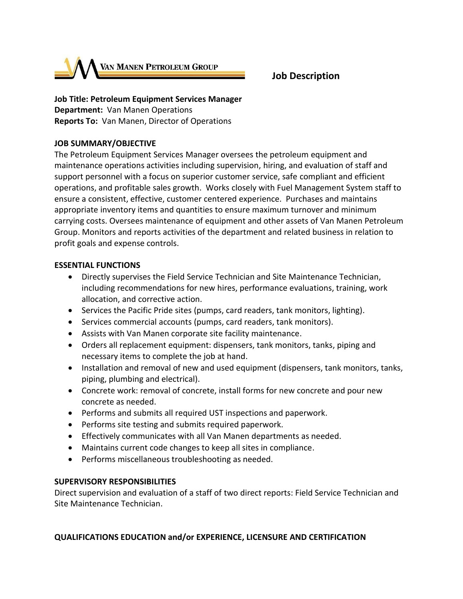

# **Job Description**

# **Job Title: Petroleum Equipment Services Manager**

**Department:** Van Manen Operations **Reports To:** Van Manen, Director of Operations

### **JOB SUMMARY/OBJECTIVE**

The Petroleum Equipment Services Manager oversees the petroleum equipment and maintenance operations activities including supervision, hiring, and evaluation of staff and support personnel with a focus on superior customer service, safe compliant and efficient operations, and profitable sales growth. Works closely with Fuel Management System staff to ensure a consistent, effective, customer centered experience. Purchases and maintains appropriate inventory items and quantities to ensure maximum turnover and minimum carrying costs. Oversees maintenance of equipment and other assets of Van Manen Petroleum Group. Monitors and reports activities of the department and related business in relation to profit goals and expense controls.

#### **ESSENTIAL FUNCTIONS**

- Directly supervises the Field Service Technician and Site Maintenance Technician, including recommendations for new hires, performance evaluations, training, work allocation, and corrective action.
- Services the Pacific Pride sites (pumps, card readers, tank monitors, lighting).
- Services commercial accounts (pumps, card readers, tank monitors).
- Assists with Van Manen corporate site facility maintenance.
- Orders all replacement equipment: dispensers, tank monitors, tanks, piping and necessary items to complete the job at hand.
- Installation and removal of new and used equipment (dispensers, tank monitors, tanks, piping, plumbing and electrical).
- Concrete work: removal of concrete, install forms for new concrete and pour new concrete as needed.
- Performs and submits all required UST inspections and paperwork.
- Performs site testing and submits required paperwork.
- Effectively communicates with all Van Manen departments as needed.
- Maintains current code changes to keep all sites in compliance.
- Performs miscellaneous troubleshooting as needed.

#### **SUPERVISORY RESPONSIBILITIES**

Direct supervision and evaluation of a staff of two direct reports: Field Service Technician and Site Maintenance Technician.

## **QUALIFICATIONS EDUCATION and/or EXPERIENCE, LICENSURE AND CERTIFICATION**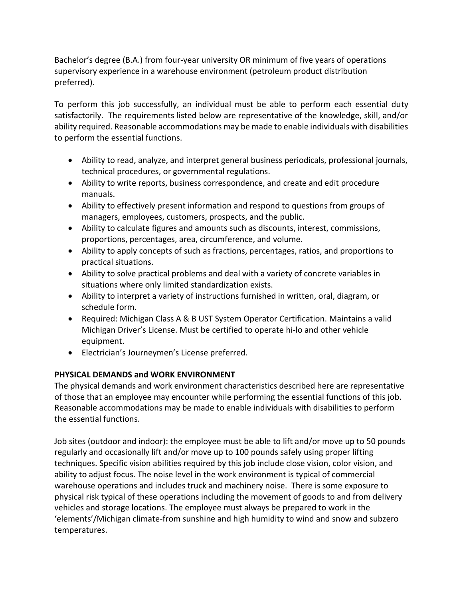Bachelor's degree (B.A.) from four-year university OR minimum of five years of operations supervisory experience in a warehouse environment (petroleum product distribution preferred).

To perform this job successfully, an individual must be able to perform each essential duty satisfactorily. The requirements listed below are representative of the knowledge, skill, and/or ability required. Reasonable accommodations may be made to enable individuals with disabilities to perform the essential functions.

- Ability to read, analyze, and interpret general business periodicals, professional journals, technical procedures, or governmental regulations.
- Ability to write reports, business correspondence, and create and edit procedure manuals.
- Ability to effectively present information and respond to questions from groups of managers, employees, customers, prospects, and the public.
- Ability to calculate figures and amounts such as discounts, interest, commissions, proportions, percentages, area, circumference, and volume.
- Ability to apply concepts of such as fractions, percentages, ratios, and proportions to practical situations.
- Ability to solve practical problems and deal with a variety of concrete variables in situations where only limited standardization exists.
- Ability to interpret a variety of instructions furnished in written, oral, diagram, or schedule form.
- Required: Michigan Class A & B UST System Operator Certification. Maintains a valid Michigan Driver's License. Must be certified to operate hi-lo and other vehicle equipment.
- Electrician's Journeymen's License preferred.

## **PHYSICAL DEMANDS and WORK ENVIRONMENT**

The physical demands and work environment characteristics described here are representative of those that an employee may encounter while performing the essential functions of this job. Reasonable accommodations may be made to enable individuals with disabilities to perform the essential functions.

Job sites (outdoor and indoor): the employee must be able to lift and/or move up to 50 pounds regularly and occasionally lift and/or move up to 100 pounds safely using proper lifting techniques. Specific vision abilities required by this job include close vision, color vision, and ability to adjust focus. The noise level in the work environment is typical of commercial warehouse operations and includes truck and machinery noise. There is some exposure to physical risk typical of these operations including the movement of goods to and from delivery vehicles and storage locations. The employee must always be prepared to work in the 'elements'/Michigan climate-from sunshine and high humidity to wind and snow and subzero temperatures.